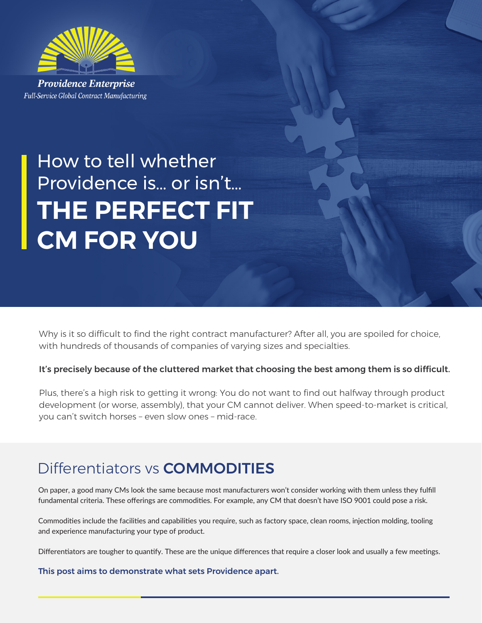

**Providence Enterprise** Full-Service Global Contract Manufacturing

# How to tell whether Providence is… or isn't… **THE PERFECT FIT CM FOR YOU**

Why is it so difficult to find the right contract manufacturer? After all, you are spoiled for choice, with hundreds of thousands of companies of varying sizes and specialties.

### It's precisely because of the cluttered market that choosing the best among them is so difficult.

Plus, there's a high risk to getting it wrong: You do not want to find out halfway through product development (or worse, assembly), that your CM cannot deliver. When speed-to-market is critical, you can't switch horses – even slow ones – mid-race.

## Differentiators vs COMMODITIES

On paper, a good many CMs look the same because most manufacturers won't consider working with them unless they fulfill fundamental criteria. These offerings are commodities. For example, any CM that doesn't have ISO 9001 could pose a risk.

Commodities include the facilities and capabilities you require, such as factory space, clean rooms, injection molding, tooling and experience manufacturing your type of product.

Differentiators are tougher to quantify. These are the unique differences that require a closer look and usually a few meetings.

This post aims to demonstrate what sets Providence apart.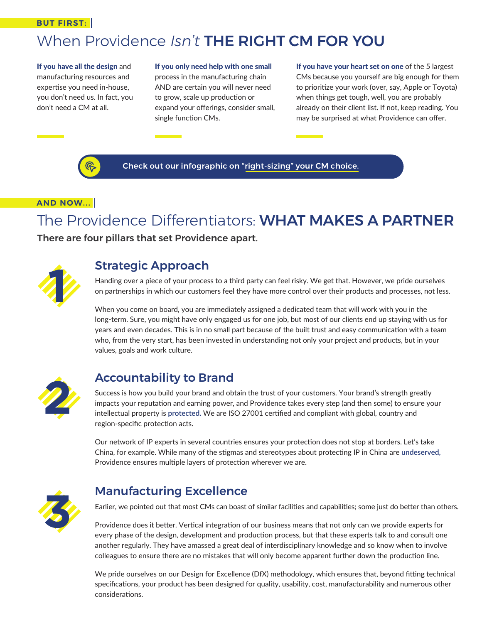#### **BUT FIRST:**

## When Providence *Isn't* THE RIGHT CM FOR YOU

If you have all the design and manufacturing resources and expertise you need in-house, you don't need us. In fact, you don't need a CM at all.

#### If you only need help with one small

process in the manufacturing chain AND are certain you will never need to grow, scale up production or expand your offerings, consider small, single function CMs.

If you have your heart set on one of the 5 largest CMs because you yourself are big enough for them to prioritize your work (over, say, Apple or Toyota) when things get tough, well, you are probably already on their client list. If not, keep reading. You may be surprised at what Providence can offer.



Check out our infographic on "right-sizing" your CM choice.

### **AND NOW...**

## The Providence Differentiators: WHAT MAKES A PARTNER

There are four pillars that set Providence apart.



## Strategic Approach

Handing over a piece of your process to a third party can feel risky. We get that. However, we pride ourselves on partnerships in which our customers feel they have more control over their products and processes, not less.

When you come on board, you are immediately assigned a dedicated team that will work with you in the long-term. Sure, you might have only engaged us for one job, but most of our clients end up staying with us for years and even decades. This is in no small part because of the built trust and easy communication with a team who, from the very start, has been invested in understanding not only your project and products, but in your values, goals and work culture.



## Accountability to Brand

Success is how you build your brand and obtain the trust of your customers. Your brand's strength greatly impacts your reputation and earning power, and Providence takes every step (and then some) to ensure your intellectual property is **protected.** We are ISO 27001 certified and compliant with global, country and region-specific protection acts.

Our network of IP experts in several countries ensures your protection does not stop at borders. Let's take China, for example. While many of the stigmas and stereotypes about protecting IP in China are **undeserved,**  Providence ensures multiple layers of protection wherever we are.



## Manufacturing Excellence

Earlier, we pointed out that most CMs can boast of similar facilities and capabilities; some just do better than others.

Providence does it better. Vertical integration of our business means that not only can we provide experts for every phase of the design, development and production process, but that these experts talk to and consult one another regularly. They have amassed a great deal of interdisciplinary knowledge and so know when to involve colleagues to ensure there are no mistakes that will only become apparent further down the production line.

We pride ourselves on our Design for Excellence (DfX) methodology, which ensures that, beyond fitting technical specifications, your product has been designed for quality, usability, cost, manufacturability and numerous other considerations.